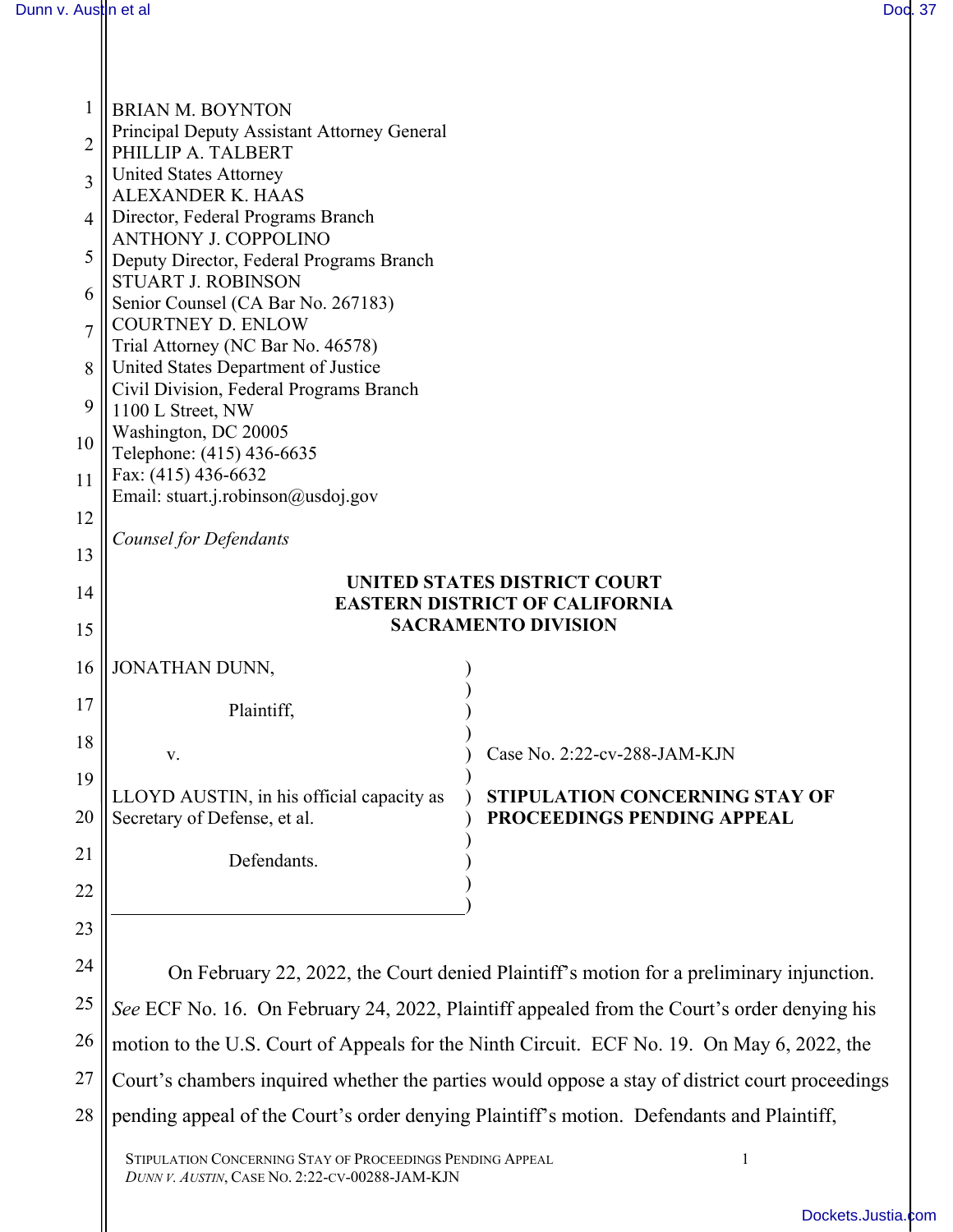| 1              | <b>BRIAN M. BOYNTON</b>                                                                                                                                                                |                                                                     |  |
|----------------|----------------------------------------------------------------------------------------------------------------------------------------------------------------------------------------|---------------------------------------------------------------------|--|
| 2              | Principal Deputy Assistant Attorney General                                                                                                                                            |                                                                     |  |
|                | PHILLIP A. TALBERT<br><b>United States Attorney</b>                                                                                                                                    |                                                                     |  |
| 3              | <b>ALEXANDER K. HAAS</b>                                                                                                                                                               |                                                                     |  |
| $\overline{4}$ | Director, Federal Programs Branch                                                                                                                                                      |                                                                     |  |
| 5              | <b>ANTHONY J. COPPOLINO</b><br>Deputy Director, Federal Programs Branch                                                                                                                |                                                                     |  |
|                | <b>STUART J. ROBINSON</b>                                                                                                                                                              |                                                                     |  |
| 6              | Senior Counsel (CA Bar No. 267183)                                                                                                                                                     |                                                                     |  |
| $\overline{7}$ | <b>COURTNEY D. ENLOW</b><br>Trial Attorney (NC Bar No. 46578)                                                                                                                          |                                                                     |  |
| 8              | United States Department of Justice                                                                                                                                                    |                                                                     |  |
| 9              | Civil Division, Federal Programs Branch                                                                                                                                                |                                                                     |  |
|                | 1100 L Street, NW<br>Washington, DC 20005                                                                                                                                              |                                                                     |  |
| 10             | Telephone: (415) 436-6635                                                                                                                                                              |                                                                     |  |
| 11             | Fax: (415) 436-6632                                                                                                                                                                    |                                                                     |  |
| 12             | Email: stuart.j.robinson@usdoj.gov                                                                                                                                                     |                                                                     |  |
|                | Counsel for Defendants                                                                                                                                                                 |                                                                     |  |
| 13             |                                                                                                                                                                                        | UNITED STATES DISTRICT COURT                                        |  |
| 14             |                                                                                                                                                                                        | <b>EASTERN DISTRICT OF CALIFORNIA</b>                               |  |
| 15             | <b>SACRAMENTO DIVISION</b>                                                                                                                                                             |                                                                     |  |
| 16             | JONATHAN DUNN,                                                                                                                                                                         |                                                                     |  |
|                |                                                                                                                                                                                        |                                                                     |  |
| 17             | Plaintiff,                                                                                                                                                                             |                                                                     |  |
| 18             | v.                                                                                                                                                                                     | Case No. 2:22-cv-288-JAM-KJN                                        |  |
| 19             |                                                                                                                                                                                        |                                                                     |  |
| 20             | LLOYD AUSTIN, in his official capacity as<br>Secretary of Defense, et al.                                                                                                              | <b>STIPULATION CONCERNING STAY OF</b><br>PROCEEDINGS PENDING APPEAL |  |
|                |                                                                                                                                                                                        |                                                                     |  |
| 21             | Defendants.                                                                                                                                                                            |                                                                     |  |
| 22             |                                                                                                                                                                                        |                                                                     |  |
| 23             |                                                                                                                                                                                        |                                                                     |  |
| 24             |                                                                                                                                                                                        |                                                                     |  |
| 25             | On February 22, 2022, the Court denied Plaintiff's motion for a preliminary injunction.<br>See ECF No. 16. On February 24, 2022, Plaintiff appealed from the Court's order denying his |                                                                     |  |
|                |                                                                                                                                                                                        |                                                                     |  |
| 26             | motion to the U.S. Court of Appeals for the Ninth Circuit. ECF No. 19. On May 6, 2022, the                                                                                             |                                                                     |  |
| 27             | Court's chambers inquired whether the parties would oppose a stay of district court proceedings                                                                                        |                                                                     |  |
| 28             | pending appeal of the Court's order denying Plaintiff's motion. Defendants and Plaintiff,                                                                                              |                                                                     |  |
|                | STIPULATION CONCERNING STAY OF PROCEEDINGS PENDING APPEAL                                                                                                                              | 1                                                                   |  |

*DUNN V. AUSTIN*, CASE NO. 2:22-CV-00288-JAM-KJN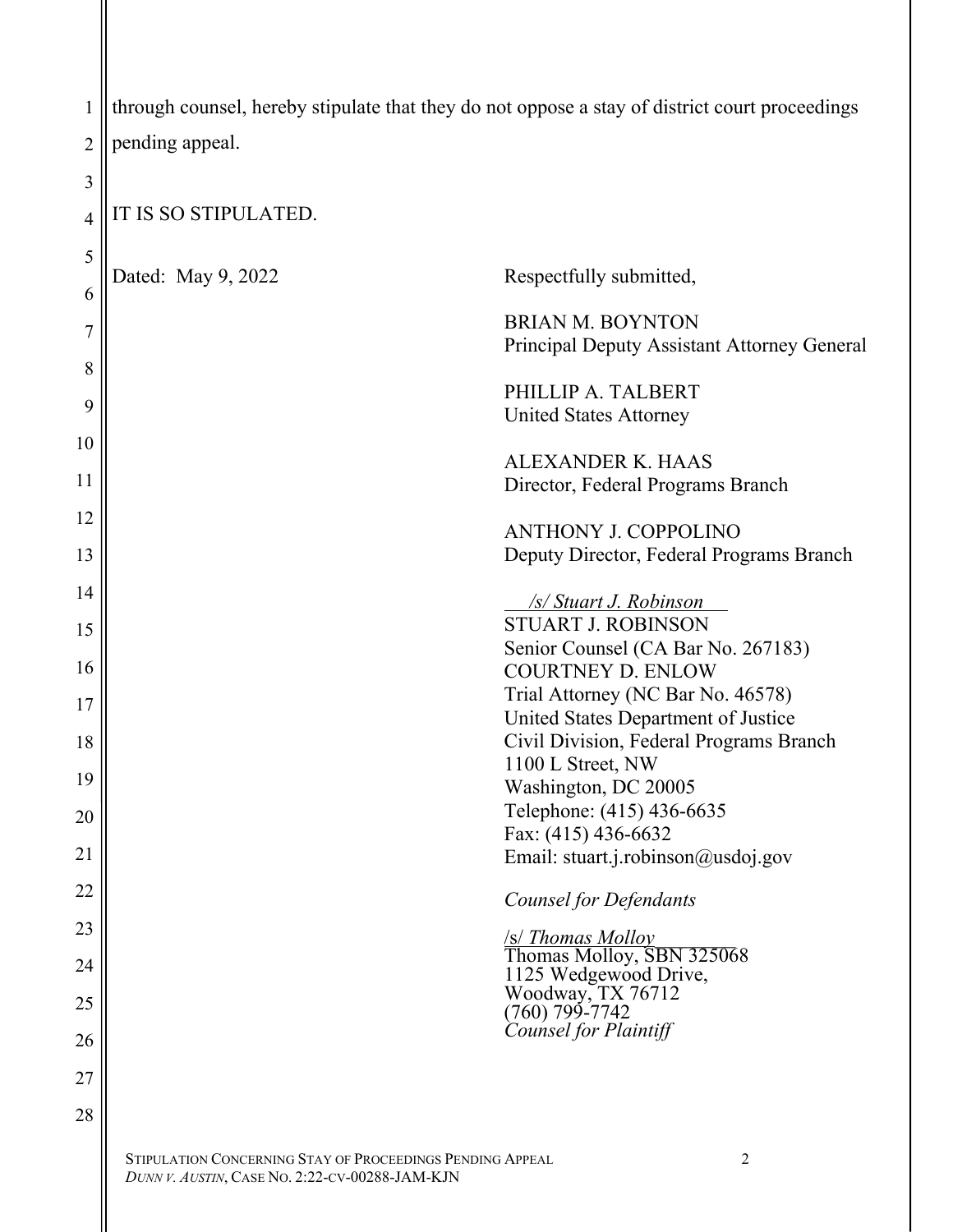| 1              | through counsel, hereby stipulate that they do not oppose a stay of district court proceedings |                                                                        |
|----------------|------------------------------------------------------------------------------------------------|------------------------------------------------------------------------|
| $\overline{2}$ | pending appeal.                                                                                |                                                                        |
|                |                                                                                                |                                                                        |
| 3              | IT IS SO STIPULATED.                                                                           |                                                                        |
| 4              |                                                                                                |                                                                        |
| 5              | Dated: May 9, 2022                                                                             | Respectfully submitted,                                                |
| 6              |                                                                                                |                                                                        |
| 7              |                                                                                                | <b>BRIAN M. BOYNTON</b><br>Principal Deputy Assistant Attorney General |
| 8              |                                                                                                |                                                                        |
| 9              |                                                                                                | PHILLIP A. TALBERT                                                     |
| 10             |                                                                                                | <b>United States Attorney</b>                                          |
|                |                                                                                                | <b>ALEXANDER K. HAAS</b>                                               |
| 11             |                                                                                                | Director, Federal Programs Branch                                      |
| 12             |                                                                                                | <b>ANTHONY J. COPPOLINO</b>                                            |
| 13             |                                                                                                | Deputy Director, Federal Programs Branch                               |
| 14             |                                                                                                | /s/ Stuart J. Robinson                                                 |
| 15             |                                                                                                | <b>STUART J. ROBINSON</b>                                              |
| 16             |                                                                                                | Senior Counsel (CA Bar No. 267183)<br><b>COURTNEY D. ENLOW</b>         |
|                |                                                                                                | Trial Attorney (NC Bar No. 46578)                                      |
| 17             |                                                                                                | United States Department of Justice                                    |
| 18             |                                                                                                | Civil Division, Federal Programs Branch<br>1100 L Street, NW           |
| 19             |                                                                                                | Washington, DC 20005                                                   |
| 20             |                                                                                                | Telephone: (415) 436-6635                                              |
| 21             |                                                                                                | Fax: (415) 436-6632<br>Email: stuart.j.robinson@usdoj.gov              |
| 22             |                                                                                                |                                                                        |
|                |                                                                                                | <b>Counsel for Defendants</b>                                          |
| 23             |                                                                                                | S/ Thomas Molloy<br>Thomas Molloy, SBN 325068                          |
| 24             |                                                                                                | 1125 Wedgewood Drive,                                                  |
| 25             |                                                                                                | Woodway, TX 76712<br>$(760)$ 799-7742                                  |
| 26             |                                                                                                | Counsel for Plaintiff                                                  |
| 27             |                                                                                                |                                                                        |
| 28             |                                                                                                |                                                                        |

STIPULATION CONCERNING STAY OF PROCEEDINGS PENDING APPEAL 2 *DUNN V. AUSTIN*, CASE NO. 2:22-CV-00288-JAM-KJN